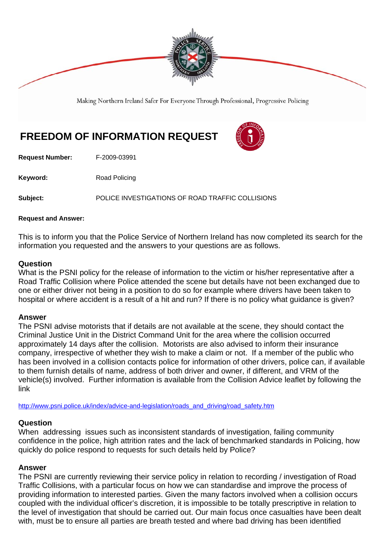

Making Northern Ireland Safer For Everyone Through Professional, Progressive Policing

# **FREEDOM OF INFORMATION REQUEST**

**Request Number:** F-2009-03991

Keyword: Road Policing

**Subject:** POLICE INVESTIGATIONS OF ROAD TRAFFIC COLLISIONS

#### **Request and Answer:**

This is to inform you that the Police Service of Northern Ireland has now completed its search for the information you requested and the answers to your questions are as follows.

#### **Question**

What is the PSNI policy for the release of information to the victim or his/her representative after a Road Traffic Collision where Police attended the scene but details have not been exchanged due to one or either driver not being in a position to do so for example where drivers have been taken to hospital or where accident is a result of a hit and run? If there is no policy what guidance is given?

### **Answer**

The PSNI advise motorists that if details are not available at the scene, they should contact the Criminal Justice Unit in the District Command Unit for the area where the collision occurred approximately 14 days after the collision. Motorists are also advised to inform their insurance company, irrespective of whether they wish to make a claim or not. If a member of the public who has been involved in a collision contacts police for information of other drivers, police can, if available to them furnish details of name, address of both driver and owner, if different, and VRM of the vehicle(s) involved. Further information is available from the Collision Advice leaflet by following the link

http://www.psni.police.uk/index/advice-and-legislation/roads\_and\_driving/road\_safety.htm

### **Question**

When addressing issues such as inconsistent standards of investigation, failing community confidence in the police, high attrition rates and the lack of benchmarked standards in Policing, how quickly do police respond to requests for such details held by Police?

### **Answer**

The PSNI are currently reviewing their service policy in relation to recording / investigation of Road Traffic Collisions, with a particular focus on how we can standardise and improve the process of providing information to interested parties. Given the many factors involved when a collision occurs coupled with the individual officer's discretion, it is impossible to be totally prescriptive in relation to the level of investigation that should be carried out. Our main focus once casualties have been dealt with, must be to ensure all parties are breath tested and where bad driving has been identified